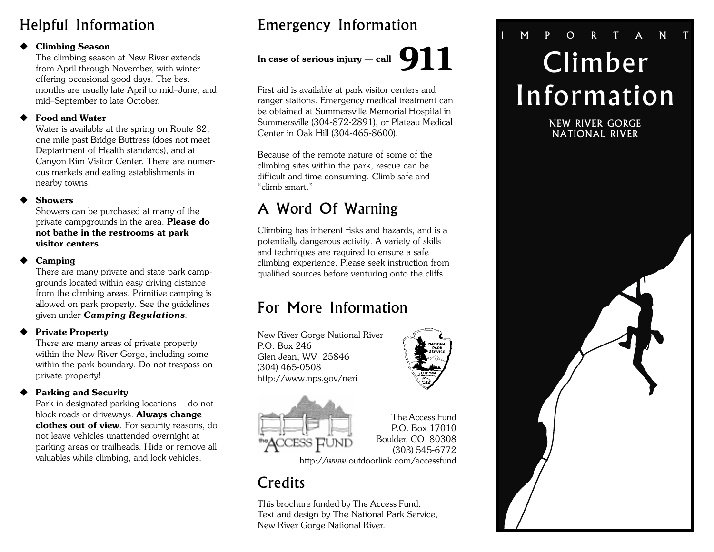## Helpful Information

#### $\blacklozenge$  Climbing Season

The climbing season at New River extends from April through November, with winter offering occasional good days. The best months are usually late April to mid-June, and mid-September to late October.

#### **Food and Water**

Water is available at the spring on Route 82, one mile past Bridge Buttress (does not meet Deptartment of Health standards), and at Canyon Rim Visitor Center. There are numerous markets and eating establishments in nearby towns.

#### **Showers**

Showers can be purchased at many of the private campgrounds in the area. **Please do** not bathe in the restrooms at park visitor centers.

#### Camping

There are many private and state park campgrounds located within easy driving distance from the climbing areas. Primitive camping is allowed on park property. See the guidelines given under Camping Regulations.

#### **Private Property**

There are many areas of private property within the New River Gorge, including some within the park boundary. Do not trespass on private property!

#### ◆ Parking and Security

Park in designated parking locations - do not block roads or driveways. Always change clothes out of view. For security reasons, do not leave vehicles unattended overnight at parking areas or trailheads. Hide or remove all valuables while climbing, and lock vehicles.

## Emergency Information

## In case of serious injury — call 911

First aid is available at park visitor centers and ranger stations. Emergency medical treatment can be obtained at Summersville Memorial Hospital in Summersville (304-872-2891), or Plateau Medical Center in Oak Hill (304-465-8600).

Because of the remote nature of some of the climbing sites within the park, rescue can be difficult and time-consuming. Climb safe and "climb smart."

## A Word Of Warning

Climbing has inherent risks and hazards, and is a potentially dangerous activity. A variety of skills and techniques are required to ensure a safe climbing experience. Please seek instruction from qualified sources before venturing onto the cliffs.

## For More Information

New River Gorge National River P.O. Box 246 Glen Jean, WV 25846 (304) 465-0508 http://www.nps.gov/neri





The Access Fund P.O. Box 17010 Boulder, CO 80308 (303) 545-6772

http://www.outdoorlink.com/accessfund

## **Credits**

This brochure funded by The Access Fund. Text and design by The National Park Service, New River Gorge National River.

## Climber Information MPORTAN

NEW RIVER GORGE NATIONAL RIVER

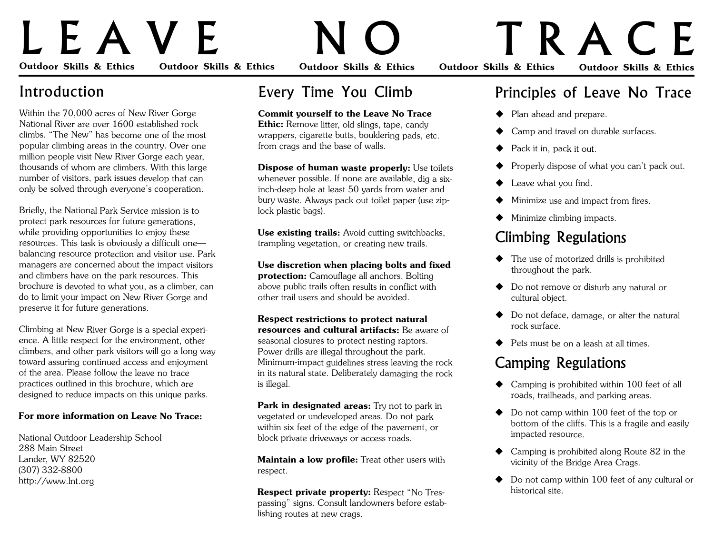# LEAVE NO TRACE

Outdoor Skills & Ethics Outdoor Skills & Ethics Outdoor Skills & Ethics Outdoor Skills & Ethics Outdoor Skills & Ethics

## Introduction

Within the 70,000 acres of New River Gorge National River are over 1600 established rock climbs. "The New" has become one of the most popular climbing areas in the country. Over one million people visit New River Gorge each year, thousands of whom are climbers. With this large number of visitors, park issues develop that can only be solved through everyone's cooperation.

Briefly, the National Park Service mission is to protect park resources for future generations, while providing opportunities to enjoy these resources. This task is obviously a difficult one balancing resource protection and visitor use. Park managers are concerned about the impact visitors and climbers have on the park resources. This brochure is devoted to what you, as a climber, can do to limit your impact on New River Gorge and preserve it for future generations.

Climbing at New River Gorge is a special experience. A little respect for the environment, other climbers, and other park visitors will go a long way toward assuring continued access and enjoyment of the area. Please follow the leave no trace practices outlined in this brochure, which are designed to reduce impacts on this unique parks.

#### For more information on Leave No Trace:

National Outdoor Leadership School 288 Main Street Lander, WY 82520 (307) 332-8800 http://www.lnt.org

## Every Time You Climb

#### Commit yourself to the Leave No Trace

Ethic: Remove litter, old slings, tape, candy wrappers, cigarette butts, bouldering pads, etc. from crags and the base of walls.

**Dispose of human waste properly:** Use toilets whenever possible. If none are available, dig a sixinch-deep hole at least 50 yards from water and bury waste. Always pack out toilet paper (use ziplock plastic bags).

Use existing trails: Avoid cutting switchbacks, trampling vegetation, or creating new trails.

Use discretion when placing bolts and fixed protection: Camouflage all anchors. Bolting above public trails often results in conflict with other trail users and should be avoided.

Respect restrictions to protect natural resources and cultural artifacts: Be aware of seasonal closures to protect nesting raptors. Power drills are illegal throughout the park. Minimum-impact guidelines stress leaving the rock in its natural state. Deliberately damaging the rock is illegal.

**Park in designated areas:** Try not to park in vegetated or undeveloped areas. Do not park within six feet of the edge of the pavement, or block private driveways or access roads.

Maintain a low profile: Treat other users with respect.

Respect private property: Respect "No Trespassing" signs. Consult landowners before establishing routes at new crags.

## Principles of Leave No Trace

- $\blacklozenge$  Plan ahead and prepare.
- Camp and travel on durable surfaces.
- Pack it in, pack it out.
- $\blacklozenge$  Properly dispose of what you can't pack out.
- $\blacklozenge$  Leave what you find.
- Minimize use and impact from fires.
- $\blacklozenge$  Minimize climbing impacts.

## Climbing Regulations

- $\blacklozenge$  The use of motorized drills is prohibited throughout the park.
- ◆ Do not remove or disturb any natural or cultural object.
- $\blacklozenge$  Do not deface, damage, or alter the natural rock surface.
- $\blacklozenge$  Pets must be on a leash at all times.

## Camping Regulations

- $\triangle$  Camping is prohibited within 100 feet of all roads, trailheads, and parking areas.
- $\blacklozenge$  Do not camp within 100 feet of the top or bottom of the cliffs. This is a fragile and easily impacted resource.
- $\triangle$  Camping is prohibited along Route 82 in the vicinity of the Bridge Area Crags.
- $\blacklozenge$  Do not camp within 100 feet of any cultural or historical site.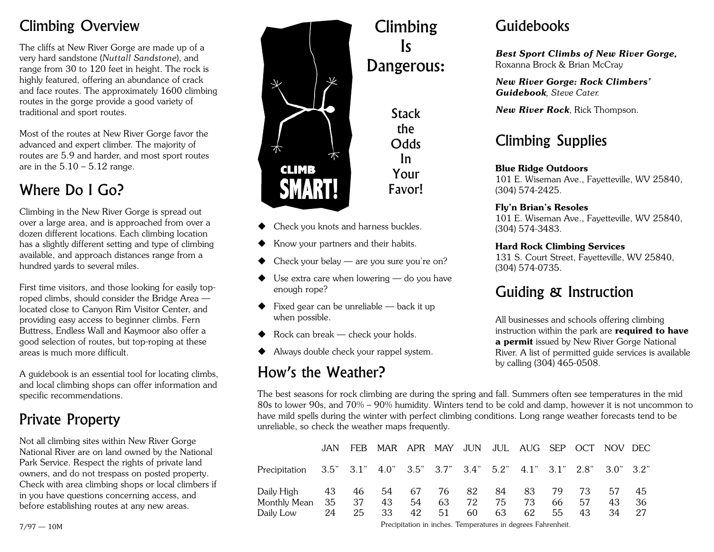## Climbing Overview

The cliffs at New River Gorge are made up of a very hard sandstone (Nuttall Sandstone), and range from 30 to 120 feet in height. The rock is highly featured, offering an abundance of crack and face routes. The approximately 1600 climbing routes in the gorge provide a good variety of traditional and sport routes.

Most of the routes at New River Gorge favor the advanced and expert climber. The majority of routes are 5.9 and harder, and most sport routes are in the  $5.10 - 5.12$  range.

## Where Do I Go?

Climbing in the New River Gorge is spread out over a large area, and is approached from over a dozen different locations. Each climbing location has a slightly different setting and type of climbing available, and approach distances range from a hundred yards to several miles.

First time visitors, and those looking for easily toproped climbs, should consider the Bridge Area located close to Canyon Rim Visitor Center, and providing easy access to beginner climbs. Fern Buttress, Endless Wall and Kaymoor also offer a good selection of routes, but top-roping at these areas is much more difficult.

A guidebook is an essential tool for locating climbs, and local climbing shops can offer information and specific recommendations.

## Private Property

Not all climbing sites within New River Gorge National River are on land owned by the National Park Service. Respect the rights of private land owners, and do not trespass on posted property. Check with area climbing shops or local climbers if in you have questions concerning access, and before establishing routes at any new areas.



**Stack** the **Odds** In Your

Favor!

Climbing

Is

Dangerous:

- Check you knots and harness buckles.
- Know your partners and their habits.
- Check your belay  $-$  are you sure you're on?
- $\blacklozenge$  Use extra care when lowering  $-$  do you have enough rope?
- $\blacklozenge$  Fixed gear can be unreliable back it up when possible.
- $\blacklozenge$  Rock can break check your holds.
- $\blacklozenge$  Always double check your rappel system.

## How's the Weather?

## Guidebooks

Best Sport Climbs of New River Gorge, Roxanna Brock & Brian McCray

New River Gorge: Rock Climbers Guidebook, Steve Cater.

New River Rock, Rick Thompson.

## Climbing Supplies

#### Blue Ridge Outdoors

101 E. Wiseman Ave., Fayetteville, WV 25840, (304) 574-2425.

#### Fly'n Brian's Resoles

101 E. Wiseman Ave., Fayetteville, WV 25840, (304) 574-3483.

#### Hard Rock Climbing Services

131 S. Court Street, Fayetteville, WV 25840, (304) 574-0735.

## Guiding & Instruction

All businesses and schools offering climbing instruction within the park are **required to have** a permit issued by New River Gorge National River. A list of permitted guide services is available by calling (304) 465-0508.

The best seasons for rock climbing are during the spring and fall. Summers often see temperatures in the mid 80s to lower 90s, and 70% – 90% humidity. Winters tend to be cold and damp, however it is not uncommon to have mild spells during the winter with perfect climbing conditions. Long range weather forecasts tend to be unreliable, so check the weather maps frequently.

|                                                                                    |    |           | JAN FEB MAR APR MAY JUN JUL AUG SEP OCT NOV DEC |          |          |          |          |          |            |          |                 |                 |
|------------------------------------------------------------------------------------|----|-----------|-------------------------------------------------|----------|----------|----------|----------|----------|------------|----------|-----------------|-----------------|
| Precipitation 3.5" 3.1" 4.0" 3.5" 3.7" 3.4" 5.2" 4.1" 3.1" 2.8" 3.0" 3.2"          |    |           |                                                 |          |          |          |          |          |            |          |                 |                 |
| Daily High  43  46  54  67  76  82  84  83  79  73<br>Monthly Mean 35<br>Daily Low | 24 | -37<br>25 | 43<br>33                                        | 54<br>42 | 63<br>51 | 72<br>60 | 75<br>63 | 73<br>62 | 66 —<br>55 | 57<br>43 | 57<br>43.<br>34 | 45<br>36<br>-27 |

Precipitation in inches. Temperatures in degrees Fahrenheit. 7/97 10M